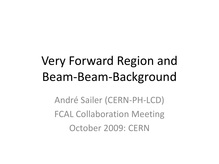## Very Forward Region and Beam-Beam-Background

André Sailer (CERN-PH-LCD) FCAL Collaboration Meeting October 2009: CERN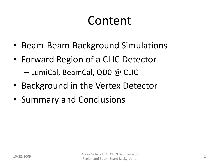### Content

- Beam-Beam-Background Simulations
- Forward Region of a CLIC Detector – LumiCal, BeamCal, QD0 @ CLIC
- Background in the Vertex Detector
- Summary and Conclusions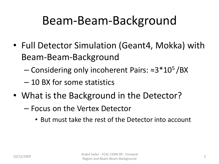### Beam-Beam-Background

- Full Detector Simulation (Geant4, Mokka) with Beam-Beam-Background
	- Considering only incoherent Pairs: ≈3\*10<sup>5</sup>/BX
	- 10 BX for some statistics
- What is the Background in the Detector?
	- Focus on the Vertex Detector
		- But must take the rest of the Detector into account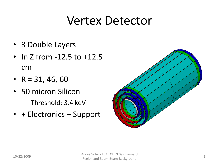#### Vertex Detector

- 3 Double Layers
- In Z from -12.5 to +12.5 cm
- $R = 31, 46, 60$
- 50 micron Silicon
	- Threshold: 3.4 keV
- + Electronics + Support

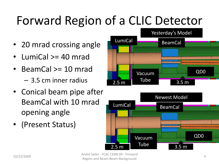# Forward Region of a CLIC Detector

- 20 mrad crossing angle
- LumiCal >= 40 mrad
- BeamCal >= 10 mrad – 3.5 cm inner radius
- Conical beam pipe after BeamCal with 10 mrad opening angle
- (Present Status)





10/22/2009 André Sailer - FCAL CERN 09 - Forward Region and Beam-Beam-Background 4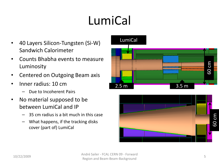# LumiCal

- 40 Layers Silicon-Tungsten (Si-W) Sandwich Calorimeter
- Counts Bhabha events to measure Luminosity
- Centered on Outgoing Beam axis
- Inner radius: 10 cm
	- Due to Incoherent Pairs
- No material supposed to be between LumiCal and IP
	- 35 cm radius is a bit much in this case
	- What happens, if the tracking disks cover (part of) LumiCal



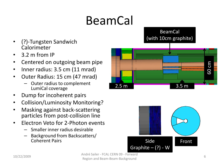# BeamCal

- (?)-Tungsten Sandwich Calorimeter
- 3.2 m from IP
- Centered on outgoing beam pipe
- Inner radius: 3.5 cm (11 mrad)
- Outer Radius: 15 cm (47 mrad)
	- Outer radius to complement LumiCal coverage
- Dump for incoherent pairs
- Collision/Luminosity Monitoring?
- Masking against back-scattering particles from post-collision line
- Electron Veto for 2-Photon events
	- Smaller inner radius desirable
	- Background from Backscatters/ Coherent Pairs **Side Front** Pairs **Side Front**





André Sailer - FCAL CERN 09 - Forward Region and Beam-Beam-Background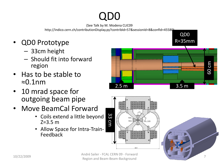#### QD0

(See Talk by M. Modena CLIC09

http://indico.cern.ch/contributionDisplay.py?contribId=57&sessionId=8&confId=45580)

- QD0 Prototype
	- 33cm height
	- Should fit into forward region
- Has to be stable to ≈0.1nm
- 10 mrad space for outgoing beam pipe
- Move BeamCal Forward
	- Coils extend a little beyond Z=3.5 m
	- Allow Space for Intra-Train-Feedback







QD0

R=35mm

André Sailer - FCAL CERN 09 - Forward Region and Beam-Beam-Background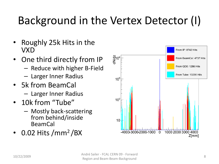### Background in the Vertex Detector (I)

- Roughly 25k Hits in the VXD
- One third directly from IP
	- Reduce with higher B-Field
	- Larger Inner Radius
- 5k from BeamCal – Larger Inner Radius
- 10k from "Tube"
	- Mostly back-scattering from behind/inside BeamCal
- $\cdot$  0.02 Hits /mm<sup>2</sup>/BX

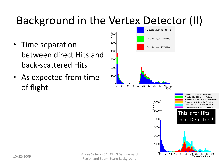### Background in the Vertex Detector (II)

- Time separation between direct Hits and back-scattered Hits
- As expected from time of flight



10/22/2009 André Sailer - FCAL CERN 09 - Forward André Sailer - FCAL CERN 09 - Forward  $\frac{6}{10}$  5 10 15 20 25 30 35 40 45 5<br>Region and Beam-Beam-Background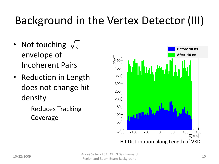### Background in the Vertex Detector (III)

- Not touching  $\sqrt{z}$ envelope of Incoherent Pairs
- Reduction in Length does not change hit density
	- Reduces Tracking Coverage

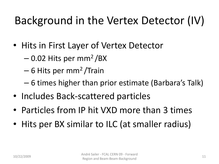### Background in the Vertex Detector (IV)

- Hits in First Layer of Vertex Detector
	- $-$  0.02 Hits per mm<sup>2</sup>/BX
	- 6 Hits per mm<sup>2</sup>/Train
	- 6 times higher than prior estimate (Barbara's Talk)
- Includes Back-scattered particles
- Particles from IP hit VXD more than 3 times
- Hits per BX similar to ILC (at smaller radius)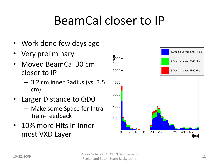## BeamCal closer to IP

- Work done few days ago
- Very preliminary
- Moved BeamCal 30 cm closer to IP
	- 3.2 cm inner Radius (vs. 3.5 cm)
- Larger Distance to QD0
	- Make some Space for Intra-Train-Feedback
- 10% more Hits in innermost VXD Layer

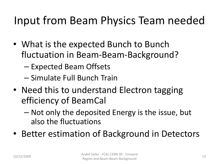#### Input from Beam Physics Team needed

- What is the expected Bunch to Bunch fluctuation in Beam-Beam-Background?
	- Expected Beam Offsets
	- Simulate Full Bunch Train
- Need this to understand Electron tagging efficiency of BeamCal
	- Not only the deposited Energy is the issue, but also the fluctuations
- Better estimation of Background in Detectors